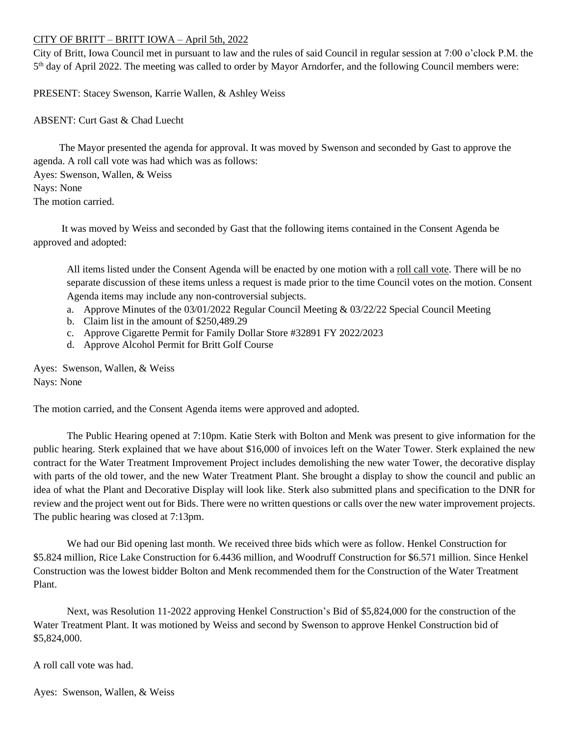## CITY OF BRITT – BRITT IOWA – April 5th, 2022

City of Britt, Iowa Council met in pursuant to law and the rules of said Council in regular session at 7:00 o'clock P.M. the 5<sup>th</sup> day of April 2022. The meeting was called to order by Mayor Arndorfer, and the following Council members were:

PRESENT: Stacey Swenson, Karrie Wallen, & Ashley Weiss

ABSENT: Curt Gast & Chad Luecht

 The Mayor presented the agenda for approval. It was moved by Swenson and seconded by Gast to approve the agenda. A roll call vote was had which was as follows:

Ayes: Swenson, Wallen, & Weiss Nays: None The motion carried.

 It was moved by Weiss and seconded by Gast that the following items contained in the Consent Agenda be approved and adopted:

All items listed under the Consent Agenda will be enacted by one motion with a roll call vote. There will be no separate discussion of these items unless a request is made prior to the time Council votes on the motion. Consent Agenda items may include any non-controversial subjects.

- a. Approve Minutes of the 03/01/2022 Regular Council Meeting & 03/22/22 Special Council Meeting
- b. Claim list in the amount of \$250,489.29
- c. Approve Cigarette Permit for Family Dollar Store #32891 FY 2022/2023
- d. Approve Alcohol Permit for Britt Golf Course

Ayes: Swenson, Wallen, & Weiss Nays: None

The motion carried, and the Consent Agenda items were approved and adopted.

The Public Hearing opened at 7:10pm. Katie Sterk with Bolton and Menk was present to give information for the public hearing. Sterk explained that we have about \$16,000 of invoices left on the Water Tower. Sterk explained the new contract for the Water Treatment Improvement Project includes demolishing the new water Tower, the decorative display with parts of the old tower, and the new Water Treatment Plant. She brought a display to show the council and public an idea of what the Plant and Decorative Display will look like. Sterk also submitted plans and specification to the DNR for review and the project went out for Bids. There were no written questions or calls over the new water improvement projects. The public hearing was closed at 7:13pm.

We had our Bid opening last month. We received three bids which were as follow. Henkel Construction for \$5.824 million, Rice Lake Construction for 6.4436 million, and Woodruff Construction for \$6.571 million. Since Henkel Construction was the lowest bidder Bolton and Menk recommended them for the Construction of the Water Treatment Plant.

Next, was Resolution 11-2022 approving Henkel Construction's Bid of \$5,824,000 for the construction of the Water Treatment Plant. It was motioned by Weiss and second by Swenson to approve Henkel Construction bid of \$5,824,000.

A roll call vote was had.

Ayes: Swenson, Wallen, & Weiss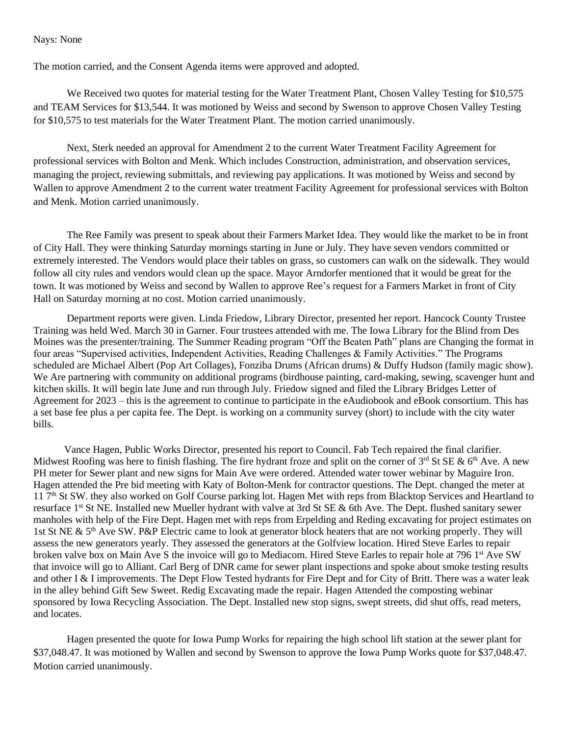## Nays: None

The motion carried, and the Consent Agenda items were approved and adopted.

We Received two quotes for material testing for the Water Treatment Plant, Chosen Valley Testing for \$10,575 and TEAM Services for \$13,544. It was motioned by Weiss and second by Swenson to approve Chosen Valley Testing for \$10,575 to test materials for the Water Treatment Plant. The motion carried unanimously.

Next, Sterk needed an approval for Amendment 2 to the current Water Treatment Facility Agreement for professional services with Bolton and Menk. Which includes Construction, administration, and observation services, managing the project, reviewing submittals, and reviewing pay applications. It was motioned by Weiss and second by Wallen to approve Amendment 2 to the current water treatment Facility Agreement for professional services with Bolton and Menk. Motion carried unanimously.

The Ree Family was present to speak about their Farmers Market Idea. They would like the market to be in front of City Hall. They were thinking Saturday mornings starting in June or July. They have seven vendors committed or extremely interested. The Vendors would place their tables on grass, so customers can walk on the sidewalk. They would follow all city rules and vendors would clean up the space. Mayor Arndorfer mentioned that it would be great for the town. It was motioned by Weiss and second by Wallen to approve Ree's request for a Farmers Market in front of City Hall on Saturday morning at no cost. Motion carried unanimously.

Department reports were given. Linda Friedow, Library Director, presented her report. Hancock County Trustee Training was held Wed. March 30 in Garner. Four trustees attended with me. The Iowa Library for the Blind from Des Moines was the presenter/training. The Summer Reading program "Off the Beaten Path" plans are Changing the format in four areas "Supervised activities, Independent Activities, Reading Challenges & Family Activities." The Programs scheduled are Michael Albert (Pop Art Collages), Fonziba Drums (African drums) & Duffy Hudson (family magic show). We Are partnering with community on additional programs (birdhouse painting, card-making, sewing, scavenger hunt and kitchen skills. It will begin late June and run through July. Friedow signed and filed the Library Bridges Letter of Agreement for 2023 – this is the agreement to continue to participate in the eAudiobook and eBook consortium. This has a set base fee plus a per capita fee. The Dept. is working on a community survey (short) to include with the city water bills.

 Vance Hagen, Public Works Director, presented his report to Council. Fab Tech repaired the final clarifier. Midwest Roofing was here to finish flashing. The fire hydrant froze and split on the corner of  $3^{rd}$  St SE &  $6^{th}$  Ave. A new PH meter for Sewer plant and new signs for Main Ave were ordered. Attended water tower webinar by Maguire Iron. Hagen attended the Pre bid meeting with Katy of Bolton-Menk for contractor questions. The Dept. changed the meter at 11 7<sup>th</sup> St SW. they also worked on Golf Course parking lot. Hagen Met with reps from Blacktop Services and Heartland to resurface 1<sup>st</sup> St NE. Installed new Mueller hydrant with valve at 3rd St SE & 6th Ave. The Dept. flushed sanitary sewer manholes with help of the Fire Dept. Hagen met with reps from Erpelding and Reding excavating for project estimates on 1st St NE & 5<sup>th</sup> Ave SW. P&P Electric came to look at generator block heaters that are not working properly. They will assess the new generators yearly. They assessed the generators at the Golfview location. Hired Steve Earles to repair broken valve box on Main Ave S the invoice will go to Mediacom. Hired Steve Earles to repair hole at 796 1<sup>st</sup> Ave SW that invoice will go to Alliant. Carl Berg of DNR came for sewer plant inspections and spoke about smoke testing results and other I & I improvements. The Dept Flow Tested hydrants for Fire Dept and for City of Britt. There was a water leak in the alley behind Gift Sew Sweet. Redig Excavating made the repair. Hagen Attended the composting webinar sponsored by Iowa Recycling Association. The Dept. Installed new stop signs, swept streets, did shut offs, read meters, and locates.

Hagen presented the quote for Iowa Pump Works for repairing the high school lift station at the sewer plant for \$37,048.47. It was motioned by Wallen and second by Swenson to approve the Iowa Pump Works quote for \$37,048.47. Motion carried unanimously.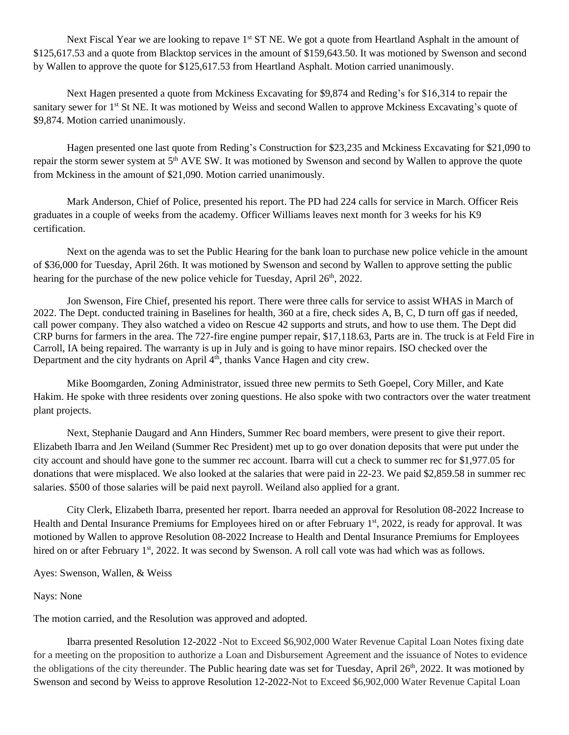Next Fiscal Year we are looking to repave  $1<sup>st</sup> ST NE$ . We got a quote from Heartland Asphalt in the amount of \$125,617.53 and a quote from Blacktop services in the amount of \$159,643.50. It was motioned by Swenson and second by Wallen to approve the quote for \$125,617.53 from Heartland Asphalt. Motion carried unanimously.

Next Hagen presented a quote from Mckiness Excavating for \$9,874 and Reding's for \$16,314 to repair the sanitary sewer for 1<sup>st</sup> St NE. It was motioned by Weiss and second Wallen to approve Mckiness Excavating's quote of \$9,874. Motion carried unanimously.

Hagen presented one last quote from Reding's Construction for \$23,235 and Mckiness Excavating for \$21,090 to repair the storm sewer system at 5<sup>th</sup> AVE SW. It was motioned by Swenson and second by Wallen to approve the quote from Mckiness in the amount of \$21,090. Motion carried unanimously.

Mark Anderson, Chief of Police, presented his report. The PD had 224 calls for service in March. Officer Reis graduates in a couple of weeks from the academy. Officer Williams leaves next month for 3 weeks for his K9 certification.

Next on the agenda was to set the Public Hearing for the bank loan to purchase new police vehicle in the amount of \$36,000 for Tuesday, April 26th. It was motioned by Swenson and second by Wallen to approve setting the public hearing for the purchase of the new police vehicle for Tuesday, April  $26<sup>th</sup>$ , 2022.

Jon Swenson, Fire Chief, presented his report. There were three calls for service to assist WHAS in March of 2022. The Dept. conducted training in Baselines for health, 360 at a fire, check sides A, B, C, D turn off gas if needed, call power company. They also watched a video on Rescue 42 supports and struts, and how to use them. The Dept did CRP burns for farmers in the area. The 727-fire engine pumper repair, \$17,118.63, Parts are in. The truck is at Feld Fire in Carroll, IA being repaired. The warranty is up in July and is going to have minor repairs. ISO checked over the Department and the city hydrants on April 4<sup>th</sup>, thanks Vance Hagen and city crew.

Mike Boomgarden, Zoning Administrator, issued three new permits to Seth Goepel, Cory Miller, and Kate Hakim. He spoke with three residents over zoning questions. He also spoke with two contractors over the water treatment plant projects.

Next, Stephanie Daugard and Ann Hinders, Summer Rec board members, were present to give their report. Elizabeth Ibarra and Jen Weiland (Summer Rec President) met up to go over donation deposits that were put under the city account and should have gone to the summer rec account. Ibarra will cut a check to summer rec for \$1,977.05 for donations that were misplaced. We also looked at the salaries that were paid in 22-23. We paid \$2,859.58 in summer rec salaries. \$500 of those salaries will be paid next payroll. Weiland also applied for a grant.

City Clerk, Elizabeth Ibarra, presented her report. Ibarra needed an approval for Resolution 08-2022 Increase to Health and Dental Insurance Premiums for Employees hired on or after February 1<sup>st</sup>, 2022, is ready for approval. It was motioned by Wallen to approve Resolution 08-2022 Increase to Health and Dental Insurance Premiums for Employees hired on or after February 1<sup>st</sup>, 2022. It was second by Swenson. A roll call vote was had which was as follows.

Ayes: Swenson, Wallen, & Weiss

## Nays: None

The motion carried, and the Resolution was approved and adopted.

Ibarra presented Resolution 12-2022 -Not to Exceed \$6,902,000 Water Revenue Capital Loan Notes fixing date for a meeting on the proposition to authorize a Loan and Disbursement Agreement and the issuance of Notes to evidence the obligations of the city thereunder. The Public hearing date was set for Tuesday, April 26<sup>th</sup>, 2022. It was motioned by Swenson and second by Weiss to approve Resolution 12-2022-Not to Exceed \$6,902,000 Water Revenue Capital Loan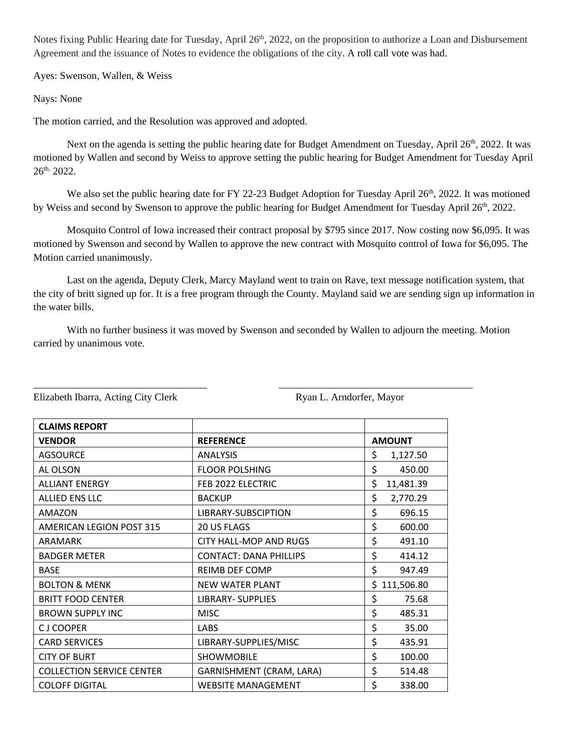Notes fixing Public Hearing date for Tuesday, April 26<sup>th</sup>, 2022, on the proposition to authorize a Loan and Disbursement Agreement and the issuance of Notes to evidence the obligations of the city. A roll call vote was had.

Ayes: Swenson, Wallen, & Weiss

Nays: None

The motion carried, and the Resolution was approved and adopted.

Next on the agenda is setting the public hearing date for Budget Amendment on Tuesday, April  $26<sup>th</sup>$ , 2022. It was motioned by Wallen and second by Weiss to approve setting the public hearing for Budget Amendment for Tuesday April 26th, 2022.

We also set the public hearing date for FY 22-23 Budget Adoption for Tuesday April 26<sup>th</sup>, 2022. It was motioned by Weiss and second by Swenson to approve the public hearing for Budget Amendment for Tuesday April 26<sup>th</sup>, 2022.

Mosquito Control of Iowa increased their contract proposal by \$795 since 2017. Now costing now \$6,095. It was motioned by Swenson and second by Wallen to approve the new contract with Mosquito control of Iowa for \$6,095. The Motion carried unanimously.

Last on the agenda, Deputy Clerk, Marcy Mayland went to train on Rave, text message notification system, that the city of britt signed up for. It is a free program through the County. Mayland said we are sending sign up information in the water bills.

With no further business it was moved by Swenson and seconded by Wallen to adjourn the meeting. Motion carried by unanimous vote.

\_\_\_\_\_\_\_\_\_\_\_\_\_\_\_\_\_\_\_\_\_\_\_\_\_\_\_\_\_\_\_\_\_\_ \_\_\_\_\_\_\_\_\_\_\_\_\_\_\_\_\_\_\_\_\_\_\_\_\_\_\_\_\_\_\_\_\_\_\_\_\_\_

| <b>CLAIMS REPORT</b>             |                               |                  |
|----------------------------------|-------------------------------|------------------|
| <b>VENDOR</b>                    | <b>REFERENCE</b>              | <b>AMOUNT</b>    |
| <b>AGSOURCE</b>                  | <b>ANALYSIS</b>               | \$<br>1,127.50   |
| AL OLSON                         | <b>FLOOR POLSHING</b>         | \$<br>450.00     |
| <b>ALLIANT ENERGY</b>            | FEB 2022 ELECTRIC             | \$<br>11,481.39  |
| <b>ALLIED ENS LLC</b>            | <b>BACKUP</b>                 | \$<br>2,770.29   |
| AMAZON                           | LIBRARY-SUBSCIPTION           | \$<br>696.15     |
| <b>AMERICAN LEGION POST 315</b>  | 20 US FLAGS                   | \$<br>600.00     |
| ARAMARK                          | <b>CITY HALL-MOP AND RUGS</b> | \$<br>491.10     |
| <b>BADGER METER</b>              | <b>CONTACT: DANA PHILLIPS</b> | \$<br>414.12     |
| <b>BASE</b>                      | <b>REIMB DEF COMP</b>         | \$<br>947.49     |
| <b>BOLTON &amp; MENK</b>         | <b>NEW WATER PLANT</b>        | \$<br>111,506.80 |
| <b>BRITT FOOD CENTER</b>         | <b>LIBRARY- SUPPLIES</b>      | \$<br>75.68      |
| <b>BROWN SUPPLY INC</b>          | <b>MISC</b>                   | \$<br>485.31     |
| <b>CJ COOPER</b>                 | LABS                          | \$<br>35.00      |
| <b>CARD SERVICES</b>             | LIBRARY-SUPPLIES/MISC         | \$<br>435.91     |
| <b>CITY OF BURT</b>              | <b>SHOWMOBILE</b>             | \$<br>100.00     |
| <b>COLLECTION SERVICE CENTER</b> | GARNISHMENT (CRAM, LARA)      | \$<br>514.48     |
| <b>COLOFF DIGITAL</b>            | WEBSITE MANAGEMENT            | \$<br>338.00     |

Elizabeth Ibarra, Acting City Clerk Ryan L. Arndorfer, Mayor